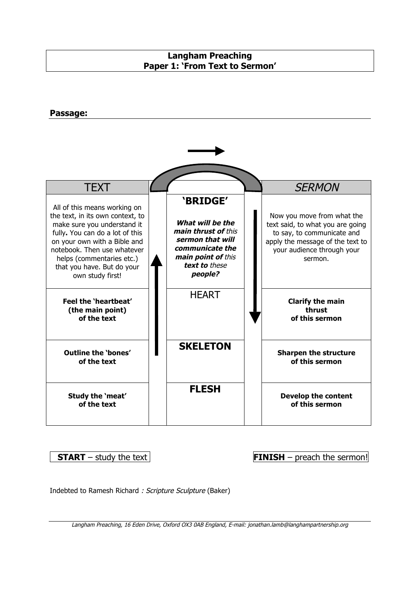# **Langham Preaching Paper 1: 'From Text to Sermon'**

### **Passage:**



**START** – study the text **FINISH** – preach the sermon!

Indebted to Ramesh Richard : Scripture Sculpture (Baker)

Langham Preaching, 16 Eden Drive, Oxford OX3 0AB England, E-mail: jonathan.lamb@langhampartnership.org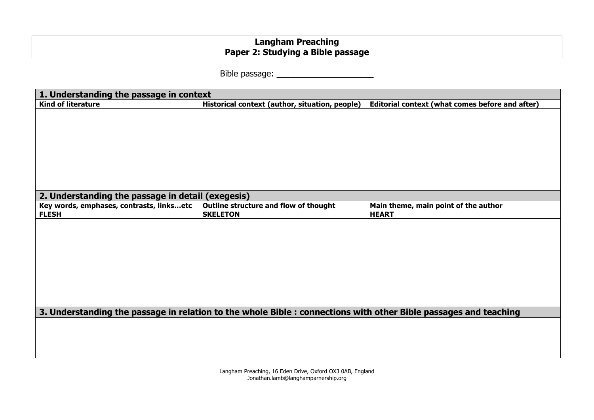# **Langham Preaching Paper 2: Studying a Bible passage**

Bible passage: \_\_\_\_\_\_\_\_\_\_\_\_\_\_\_\_\_\_\_\_\_

| 1. Understanding the passage in context                                                                          |                                                          |                                                      |  |  |
|------------------------------------------------------------------------------------------------------------------|----------------------------------------------------------|------------------------------------------------------|--|--|
| <b>Kind of literature</b>                                                                                        | Historical context (author, situation, people)           | Editorial context (what comes before and after)      |  |  |
|                                                                                                                  |                                                          |                                                      |  |  |
| 2. Understanding the passage in detail (exegesis)                                                                |                                                          |                                                      |  |  |
| Key words, emphases, contrasts, linksetc<br><b>FLESH</b>                                                         | Outline structure and flow of thought<br><b>SKELETON</b> | Main theme, main point of the author<br><b>HEART</b> |  |  |
|                                                                                                                  |                                                          |                                                      |  |  |
| 3. Understanding the passage in relation to the whole Bible : connections with other Bible passages and teaching |                                                          |                                                      |  |  |
|                                                                                                                  |                                                          |                                                      |  |  |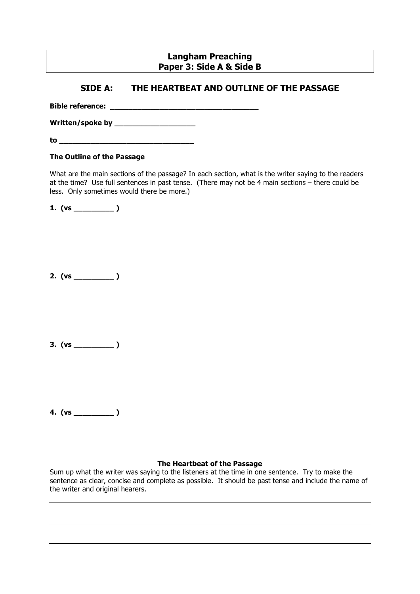## **Langham Preaching Paper 3: Side A & Side B**

## **SIDE A: THE HEARTBEAT AND OUTLINE OF THE PASSAGE**

**Bible reference: \_\_\_\_\_\_\_\_\_\_\_\_\_\_\_\_\_\_\_\_\_\_\_\_\_\_\_\_\_\_\_\_\_**

**Written/spoke by \_\_\_\_\_\_\_\_\_\_\_\_\_\_\_\_\_\_** 

**to \_\_\_\_\_\_\_\_\_\_\_\_\_\_\_\_\_\_\_\_\_\_\_\_\_\_\_\_\_\_**

### **The Outline of the Passage**

What are the main sections of the passage? In each section, what is the writer saying to the readers at the time? Use full sentences in past tense. (There may not be 4 main sections – there could be less. Only sometimes would there be more.)

**1. (vs \_\_\_\_\_\_\_\_\_ )**

**2. (vs \_\_\_\_\_\_\_\_\_ )**

**3. (vs \_\_\_\_\_\_\_\_\_ )**

**4. (vs \_\_\_\_\_\_\_\_\_ )**

### **The Heartbeat of the Passage**

Sum up what the writer was saying to the listeners at the time in one sentence. Try to make the sentence as clear, concise and complete as possible. It should be past tense and include the name of the writer and original hearers.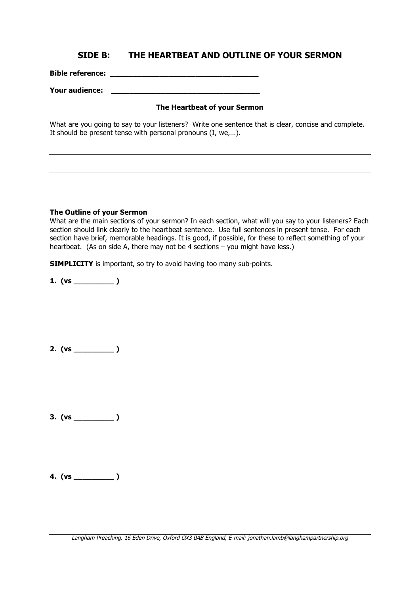### **SIDE B: THE HEARTBEAT AND OUTLINE OF YOUR SERMON**

**Bible reference: \_\_\_\_\_\_\_\_\_\_\_\_\_\_\_\_\_\_\_\_\_\_\_\_\_\_\_\_\_\_\_\_\_**

**Your audience: \_\_\_\_\_\_\_\_\_\_\_\_\_\_\_\_\_\_\_\_\_\_\_\_\_\_\_\_\_\_\_\_\_** 

### **The Heartbeat of your Sermon**

What are you going to say to your listeners? Write one sentence that is clear, concise and complete. It should be present tense with personal pronouns (I, we,…).

#### **The Outline of your Sermon**

What are the main sections of your sermon? In each section, what will you say to your listeners? Each section should link clearly to the heartbeat sentence. Use full sentences in present tense. For each section have brief, memorable headings. It is good, if possible, for these to reflect something of your heartbeat. (As on side A, there may not be 4 sections – you might have less.)

**SIMPLICITY** is important, so try to avoid having too many sub-points.

**1. (vs \_\_\_\_\_\_\_\_\_ )**

**2. (vs \_\_\_\_\_\_\_\_\_ )**

**3. (vs \_\_\_\_\_\_\_\_\_ )**

**4. (vs \_\_\_\_\_\_\_\_\_ )**